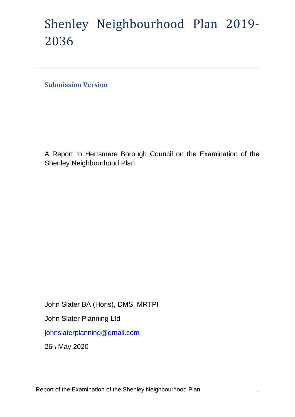# Shenley Neighbourhood Plan 2019- 2036

**Submission Version** 

A Report to Hertsmere Borough Council on the Examination of the Shenley Neighbourhood Plan

John Slater BA (Hons), DMS, MRTPI John Slater Planning Ltd [johnslaterplanning@gmail.com](mailto:johnslaterplanning@gmail.com)

26th May 2020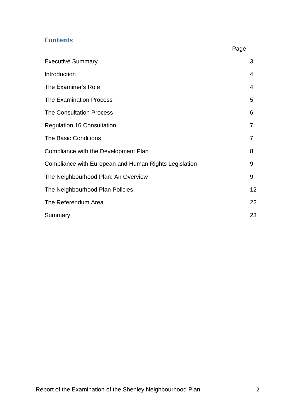# **Contents**

|                                                       | Page |
|-------------------------------------------------------|------|
| <b>Executive Summary</b>                              | 3    |
| Introduction                                          | 4    |
| The Examiner's Role                                   | 4    |
| <b>The Examination Process</b>                        | 5    |
| <b>The Consultation Process</b>                       | 6    |
| <b>Regulation 16 Consultation</b>                     | 7    |
| <b>The Basic Conditions</b>                           | 7    |
| Compliance with the Development Plan                  | 8    |
| Compliance with European and Human Rights Legislation | 9    |
| The Neighbourhood Plan: An Overview                   | 9    |
| The Neighbourhood Plan Policies                       | 12   |
| The Referendum Area                                   | 22   |
| Summary                                               | 23   |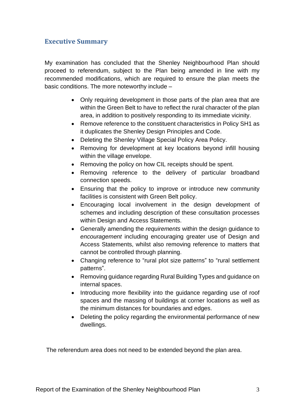# **Executive Summary**

My examination has concluded that the Shenley Neighbourhood Plan should proceed to referendum, subject to the Plan being amended in line with my recommended modifications, which are required to ensure the plan meets the basic conditions. The more noteworthy include –

- Only requiring development in those parts of the plan area that are within the Green Belt to have to reflect the rural character of the plan area, in addition to positively responding to its immediate vicinity.
- Remove reference to the constituent characteristics in Policy SH1 as it duplicates the Shenley Design Principles and Code.
- Deleting the Shenley Village Special Policy Area Policy.
- Removing for development at key locations beyond infill housing within the village envelope.
- Removing the policy on how CIL receipts should be spent.
- Removing reference to the delivery of particular broadband connection speeds.
- Ensuring that the policy to improve or introduce new community facilities is consistent with Green Belt policy.
- Encouraging local involvement in the design development of schemes and including description of these consultation processes within Design and Access Statements.
- Generally amending the *requirements* within the design guidance to *encouragement* including encouraging greater use of Design and Access Statements, whilst also removing reference to matters that cannot be controlled through planning.
- Changing reference to "rural plot size patterns" to "rural settlement patterns".
- Removing guidance regarding Rural Building Types and guidance on internal spaces.
- Introducing more flexibility into the guidance regarding use of roof spaces and the massing of buildings at corner locations as well as the minimum distances for boundaries and edges.
- Deleting the policy regarding the environmental performance of new dwellings.

The referendum area does not need to be extended beyond the plan area.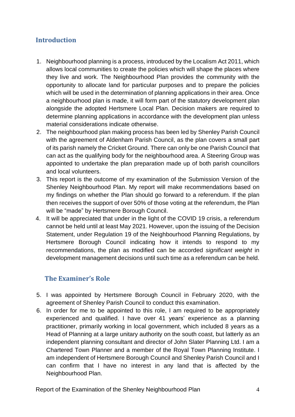# **Introduction**

- 1. Neighbourhood planning is a process, introduced by the Localism Act 2011, which allows local communities to create the policies which will shape the places where they live and work. The Neighbourhood Plan provides the community with the opportunity to allocate land for particular purposes and to prepare the policies which will be used in the determination of planning applications in their area. Once a neighbourhood plan is made, it will form part of the statutory development plan alongside the adopted Hertsmere Local Plan. Decision makers are required to determine planning applications in accordance with the development plan unless material considerations indicate otherwise.
- 2. The neighbourhood plan making process has been led by Shenley Parish Council with the agreement of Aldenham Parish Council, as the plan covers a small part of its parish namely the Cricket Ground. There can only be one Parish Council that can act as the qualifying body for the neighbourhood area. A Steering Group was appointed to undertake the plan preparation made up of both parish councillors and local volunteers.
- 3. This report is the outcome of my examination of the Submission Version of the Shenley Neighbourhood Plan. My report will make recommendations based on my findings on whether the Plan should go forward to a referendum. If the plan then receives the support of over 50% of those voting at the referendum, the Plan will be "made" by Hertsmere Borough Council.
- 4. It will be appreciated that under in the light of the COVID 19 crisis, a referendum cannot be held until at least May 2021. However, upon the issuing of the Decision Statement, under Regulation 19 of the Neighbourhood Planning Regulations, by Hertsmere Borough Council indicating how it intends to respond to my recommendations, the plan as modified can be accorded *significant weight* in development management decisions until such time as a referendum can be held.

# **The Examiner's Role**

- 5. I was appointed by Hertsmere Borough Council in February 2020, with the agreement of Shenley Parish Council to conduct this examination.
- 6. In order for me to be appointed to this role, I am required to be appropriately experienced and qualified. I have over 41 years' experience as a planning practitioner, primarily working in local government, which included 8 years as a Head of Planning at a large unitary authority on the south coast, but latterly as an independent planning consultant and director of John Slater Planning Ltd. I am a Chartered Town Planner and a member of the Royal Town Planning Institute. I am independent of Hertsmere Borough Council and Shenley Parish Council and I can confirm that I have no interest in any land that is affected by the Neighbourhood Plan.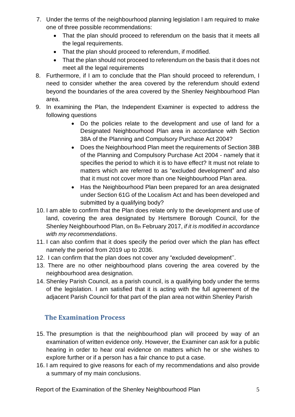- 7. Under the terms of the neighbourhood planning legislation I am required to make one of three possible recommendations:
	- That the plan should proceed to referendum on the basis that it meets all the legal requirements.
	- That the plan should proceed to referendum, if modified.
	- That the plan should not proceed to referendum on the basis that it does not meet all the legal requirements
- 8. Furthermore, if I am to conclude that the Plan should proceed to referendum, I need to consider whether the area covered by the referendum should extend beyond the boundaries of the area covered by the Shenley Neighbourhood Plan area.
- 9. In examining the Plan, the Independent Examiner is expected to address the following questions
	- Do the policies relate to the development and use of land for a Designated Neighbourhood Plan area in accordance with Section 38A of the Planning and Compulsory Purchase Act 2004?
	- Does the Neighbourhood Plan meet the requirements of Section 38B of the Planning and Compulsory Purchase Act 2004 - namely that it specifies the period to which it is to have effect? It must not relate to matters which are referred to as "excluded development" and also that it must not cover more than one Neighbourhood Plan area.
	- Has the Neighbourhood Plan been prepared for an area designated under Section 61G of the Localism Act and has been developed and submitted by a qualifying body?
- 10. I am able to confirm that the Plan does relate only to the development and use of land, covering the area designated by Hertsmere Borough Council, for the Shenley Neighbourhood Plan, on 8th February 2017, *if it is modified in accordance with my recommendations*.
- 11. I can also confirm that it does specify the period over which the plan has effect namely the period from 2019 up to 2036.
- 12. I can confirm that the plan does not cover any "excluded development''.
- 13. There are no other neighbourhood plans covering the area covered by the neighbourhood area designation.
- 14. Shenley Parish Council, as a parish council, is a qualifying body under the terms of the legislation. I am satisfied that it is acting with the full agreement of the adjacent Parish Council for that part of the plan area not within Shenley Parish

# **The Examination Process**

- 15. The presumption is that the neighbourhood plan will proceed by way of an examination of written evidence only. However, the Examiner can ask for a public hearing in order to hear oral evidence on matters which he or she wishes to explore further or if a person has a fair chance to put a case.
- 16. I am required to give reasons for each of my recommendations and also provide a summary of my main conclusions.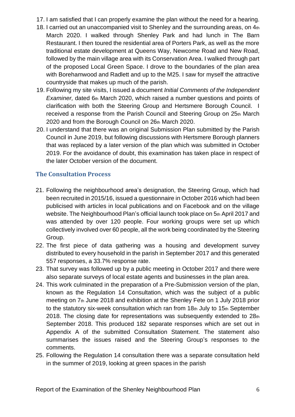- 17. I am satisfied that I can properly examine the plan without the need for a hearing.
- 18. I carried out an unaccompanied visit to Shenley and the surrounding areas, on 4th March 2020. I walked through Shenley Park and had lunch in The Barn Restaurant. I then toured the residential area of Porters Park, as well as the more traditional estate development at Queens Way, Newcome Road and New Road, followed by the main village area with its Conservation Area. I walked through part of the proposed Local Green Space. I drove to the boundaries of the plan area with Borehamwood and Radlett and up to the M25. I saw for myself the attractive countryside that makes up much of the parish.
- 19. Following my site visits, I issued a document *Initial Comments of the Independent Examiner*, dated 6th March 2020, which raised a number questions and points of clarification with both the Steering Group and Hertsmere Borough Council. I received a response from the Parish Council and Steering Group on 25th March 2020 and from the Borough Council on 26th March 2020.
- 20. I understand that there was an original Submission Plan submitted by the Parish Council in June 2019, but following discussions with Hertsmere Borough planners that was replaced by a later version of the plan which was submitted in October 2019. For the avoidance of doubt, this examination has taken place in respect of the later October version of the document.

# **The Consultation Process**

- 21. Following the neighbourhood area's designation, the Steering Group, which had been recruited in 2015/16, issued a questionnaire in October 2016 which had been publicised with articles in local publications and on Facebook and on the village website. The Neighbourhood Plan's official launch took place on 5th April 2017 and was attended by over 120 people. Four working groups were set up which collectively involved over 60 people, all the work being coordinated by the Steering Group.
- 22. The first piece of data gathering was a housing and development survey distributed to every household in the parish in September 2017 and this generated 557 responses, a 33.7% response rate.
- 23. That survey was followed up by a public meeting in October 2017 and there were also separate surveys of local estate agents and businesses in the plan area.
- 24. This work culminated in the preparation of a Pre-Submission version of the plan, known as the Regulation 14 Consultation, which was the subject of a public meeting on 7th June 2018 and exhibition at the Shenley Fete on 1 July 2018 prior to the statutory six-week consultation which ran from 18th July to 15th September 2018. The closing date for representations was subsequently extended to 28th September 2018. This produced 182 separate responses which are set out in Appendix A of the submitted Consultation Statement. The statement also summarises the issues raised and the Steering Group's responses to the comments.
- 25. Following the Regulation 14 consultation there was a separate consultation held in the summer of 2019, looking at green spaces in the parish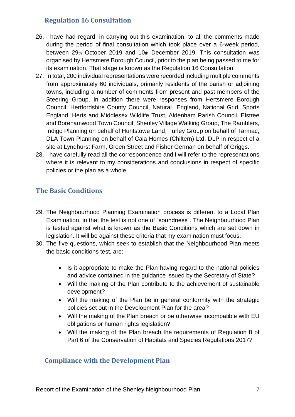# **Regulation 16 Consultation**

- 26. I have had regard, in carrying out this examination, to all the comments made during the period of final consultation which took place over a 6-week period, between 29th October 2019 and 10th December 2019. This consultation was organised by Hertsmere Borough Council, prior to the plan being passed to me for its examination. That stage is known as the Regulation 16 Consultation.
- 27. In total, 200 individual representations were recorded including multiple comments from approximately 60 individuals, primarily residents of the parish or adjoining towns, including a number of comments from present and past members of the Steering Group. In addition there were responses from Hertsmere Borough Council, Hertfordshire County Council, Natural England, National Grid, Sports England, Herts and Middlesex Wildlife Trust, Aldenham Parish Council, Elstree and Borehamwood Town Council, Shenley Village Walking Group, The Ramblers, Indigo Planning on behalf of Huntstowe Land, Turley Group on behalf of Tarmac, DLA Town Planning on behalf of Cala Homes (Chiltern) Ltd, DLP in respect of a site at Lyndhurst Farm, Green Street and Fisher German on behalf of Griggs.
- 28. I have carefully read all the correspondence and I will refer to the representations where it is relevant to my considerations and conclusions in respect of specific policies or the plan as a whole.

# **The Basic Conditions**

- 29. The Neighbourhood Planning Examination process is different to a Local Plan Examination, in that the test is not one of "soundness". The Neighbourhood Plan is tested against what is known as the Basic Conditions which are set down in legislation. It will be against these criteria that my examination must focus.
- 30. The five questions, which seek to establish that the Neighbourhood Plan meets the basic conditions test, are: -
	- Is it appropriate to make the Plan having regard to the national policies and advice contained in the guidance issued by the Secretary of State?
	- Will the making of the Plan contribute to the achievement of sustainable development?
	- Will the making of the Plan be in general conformity with the strategic policies set out in the Development Plan for the area?
	- Will the making of the Plan breach or be otherwise incompatible with EU obligations or human rights legislation?
	- Will the making of the Plan breach the requirements of Regulation 8 of Part 6 of the Conservation of Habitats and Species Regulations 2017?

# **Compliance with the Development Plan**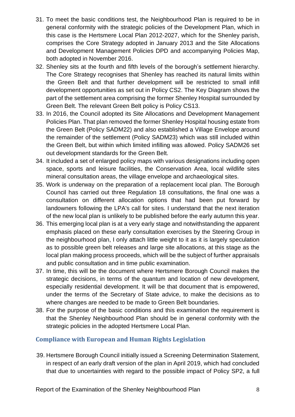- 31. To meet the basic conditions test, the Neighbourhood Plan is required to be in general conformity with the strategic policies of the Development Plan, which in this case is the Hertsmere Local Plan 2012-2027, which for the Shenley parish, comprises the Core Strategy adopted in January 2013 and the Site Allocations and Development Management Policies DPD and accompanying Policies Map, both adopted in November 2016.
- 32. Shenley sits at the fourth and fifth levels of the borough's settlement hierarchy. The Core Strategy recognises that Shenley has reached its natural limits within the Green Belt and that further development will be restricted to small infill development opportunities as set out in Policy CS2. The Key Diagram shows the part of the settlement area comprising the former Shenley Hospital surrounded by Green Belt. The relevant Green Belt policy is Policy CS13.
- 33. In 2016, the Council adopted its Site Allocations and Development Management Policies Plan. That plan removed the former Shenley Hospital housing estate from the Green Belt (Policy SADM22) and also established a Village Envelope around the remainder of the settlement (Policy SADM23) which was still included within the Green Belt, but within which limited infilling was allowed. Policy SADM26 set out development standards for the Green Belt.
- 34. It included a set of enlarged policy maps with various designations including open space, sports and leisure facilities, the Conservation Area, local wildlife sites mineral consultation areas, the village envelope and archaeological sites.
- 35. Work is underway on the preparation of a replacement local plan. The Borough Council has carried out three Regulation 18 consultations, the final one was a consultation on different allocation options that had been put forward by landowners following the LPA's call for sites. I understand that the next iteration of the new local plan is unlikely to be published before the early autumn this year.
- 36. This emerging local plan is at a very early stage and notwithstanding the apparent emphasis placed on these early consultation exercises by the Steering Group in the neighbourhood plan, I only attach little weight to it as it is largely speculation as to possible green belt releases and large site allocations, at this stage as the local plan making process proceeds, which will be the subject of further appraisals and public consultation and in time public examination.
- 37. In time, this will be the document where Hertsmere Borough Council makes the strategic decisions, in terms of the quantum and location of new development, especially residential development. It will be that document that is empowered, under the terms of the Secretary of State advice, to make the decisions as to where changes are needed to be made to Green Belt boundaries.
- 38. For the purpose of the basic conditions and this examination the requirement is that the Shenley Neighbourhood Plan should be in general conformity with the strategic policies in the adopted Hertsmere Local Plan.

# **Compliance with European and Human Rights Legislation**

39. Hertsmere Borough Council initially issued a Screening Determination Statement, in respect of an early draft version of the plan in April 2019, which had concluded that due to uncertainties with regard to the possible impact of Policy SP2, a full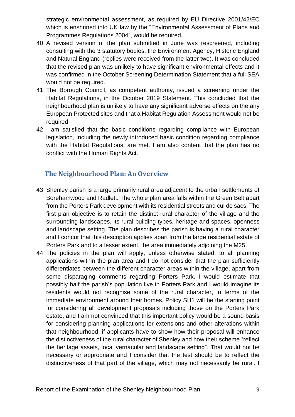strategic environmental assessment, as required by EU Directive 2001/42/EC which is enshrined into UK law by the "Environmental Assessment of Plans and Programmes Regulations 2004", would be required.

- 40. A revised version of the plan submitted in June was rescreened, including consulting with the 3 statutory bodies, the Environment Agency, Historic England and Natural England (replies were received from the latter two). It was concluded that the revised plan was unlikely to have significant environmental effects and it was confirmed in the October Screening Determination Statement that a full SEA would not be required.
- 41. The Borough Council, as competent authority, issued a screening under the Habitat Regulations, in the October 2019 Statement. This concluded that the neighbourhood plan is unlikely to have any significant adverse effects on the any European Protected sites and that a Habitat Regulation Assessment would not be required.
- 42. I am satisfied that the basic conditions regarding compliance with European legislation, including the newly introduced basic condition regarding compliance with the Habitat Regulations, are met. I am also content that the plan has no conflict with the Human Rights Act.

# **The Neighbourhood Plan: An Overview**

- 43. Shenley parish is a large primarily rural area adjacent to the urban settlements of Borehamwood and Radlett. The whole plan area falls within the Green Belt apart from the Porters Park development with its residential streets and cul de sacs. The first plan objective is to retain the distinct rural character of the village and the surrounding landscapes, its rural building types, heritage and spaces, openness and landscape setting. The plan describes the parish is having a rural character and I concur that this description applies apart from the large residential estate of Porters Park and to a lesser extent, the area immediately adjoining the M25.
- 44. The policies in the plan will apply, unless otherwise stated, to all planning applications within the plan area and I do not consider that the plan sufficiently differentiates between the different character areas within the village, apart from some disparaging comments regarding Porters Park. I would estimate that possibly half the parish's population live in Porters Park and I would imagine its residents would not recognise some of the rural character, in terms of the immediate environment around their homes. Policy SH1 will be the starting point for considering all development proposals including those on the Porters Park estate, and I am not convinced that this important policy would be a sound basis for considering planning applications for extensions and other alterations within that neighbourhood, if applicants have to show how their proposal will enhance the distinctiveness of the rural character of Shenley and how their scheme "reflect the heritage assets, local vernacular and landscape setting". That would not be necessary or appropriate and I consider that the test should be to reflect the distinctiveness of that part of the village, which may not necessarily be rural. I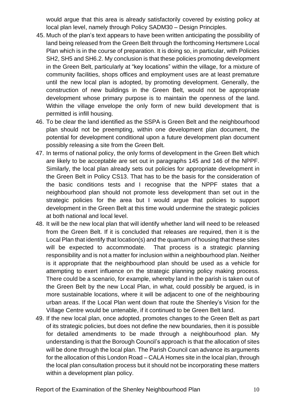would argue that this area is already satisfactorily covered by existing policy at local plan level, namely through Policy SADM30 – Design Principles.

- 45. Much of the plan's text appears to have been written anticipating the possibility of land being released from the Green Belt through the forthcoming Hertsmere Local Plan which is in the course of preparation. It is doing so, in particular, with Policies SH2, SH5 and SH6.2. My conclusion is that these policies promoting development in the Green Belt, particularly at "key locations" within the village, for a mixture of community facilities, shops offices and employment uses are at least premature until the new local plan is adopted, by promoting development. Generally, the construction of new buildings in the Green Belt, would not be appropriate development whose primary purpose is to maintain the openness of the land. Within the village envelope the only form of new build development that is permitted is infill housing.
- 46. To be clear the land identified as the SSPA is Green Belt and the neighbourhood plan should not be preempting, within one development plan document, the potential for development conditional upon a future development plan document possibly releasing a site from the Green Belt.
- 47. In terms of national policy, the only forms of development in the Green Belt which are likely to be acceptable are set out in paragraphs 145 and 146 of the NPPF. Similarly, the local plan already sets out policies for appropriate development in the Green Belt in Policy CS13. That has to be the basis for the consideration of the basic conditions tests and I recognise that the NPPF states that a neighbourhood plan should not promote less development than set out in the strategic policies for the area but I would argue that policies to support development in the Green Belt at this time would undermine the strategic policies at both national and local level.
- 48. It will be the new local plan that will identify whether land will need to be released from the Green Belt. If it is concluded that releases are required, then it is the Local Plan that identify that location(s) and the quantum of housing that these sites will be expected to accommodate. That process is a strategic planning responsibility and is not a matter for inclusion within a neighbourhood plan. Neither is it appropriate that the neighbourhood plan should be used as a vehicle for attempting to exert influence on the strategic planning policy making process. There could be a scenario, for example, whereby land in the parish is taken out of the Green Belt by the new Local Plan, in what, could possibly be argued, is in more sustainable locations, where it will be adjacent to one of the neighbouring urban areas. If the Local Plan went down that route the Shenley's Vision for the Village Centre would be untenable, if it continued to be Green Belt land.
- 49. If the new local plan, once adopted, promotes changes to the Green Belt as part of its strategic policies, but does not define the new boundaries, then it is possible for detailed amendments to be made through a neighbourhood plan. My understanding is that the Borough Council's approach is that the allocation of sites will be done through the local plan. The Parish Council can advance its arguments for the allocation of this London Road – CALA Homes site in the local plan, through the local plan consultation process but it should not be incorporating these matters within a development plan policy.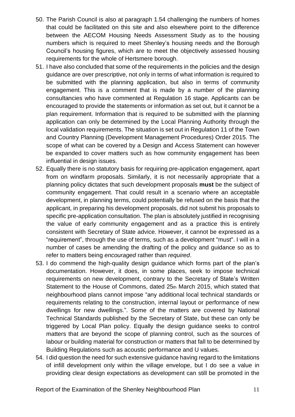- 50. The Parish Council is also at paragraph 1.54 challenging the numbers of homes that could be facilitated on this site and also elsewhere point to the difference between the AECOM Housing Needs Assessment Study as to the housing numbers which is required to meet Shenley's housing needs and the Borough Council's housing figures, which are to meet the objectively assessed housing requirements for the whole of Hertsmere borough.
- 51. I have also concluded that some of the requirements in the policies and the design guidance are over prescriptive, not only in terms of what information is required to be submitted with the planning application, but also in terms of community engagement. This is a comment that is made by a number of the planning consultancies who have commented at Regulation 16 stage. Applicants can be encouraged to provide the statements or information as set out, but it cannot be a plan requirement. Information that is required to be submitted with the planning application can only be determined by the Local Planning Authority through the local validation requirements. The situation is set out in Regulation 11 of the Town and Country Planning (Development Management Procedures) Order 2015. The scope of what can be covered by a Design and Access Statement can however be expanded to cover matters such as how community engagement has been influential in design issues.
- 52. Equally there is no statutory basis for requiring pre-application engagement, apart from on windfarm proposals. Similarly, it is not necessarily appropriate that a planning policy dictates that such development proposals **must** be the subject of community engagement. That could result in a scenario where an acceptable development, in planning terms, could potentially be refused on the basis that the applicant, in preparing his development proposals, did not submit his proposals to specific pre-application consultation. The plan is absolutely justified in recognising the value of early community engagement and as a practice this is entirely consistent with Secretary of State advice. However, it cannot be expressed as a "requirement", through the use of terms, such as a development "must". I will in a number of cases be amending the drafting of the policy and guidance so as to refer to matters being *encouraged* rather than *required*.
- 53. I do commend the high-quality design guidance which forms part of the plan's documentation. However, it does, in some places, seek to impose technical requirements on new development, contrary to the Secretary of State's Written Statement to the House of Commons, dated 25th March 2015, which stated that neighbourhood plans cannot impose "any additional local technical standards or requirements relating to the construction, internal layout or performance of new dwellings for new dwellings.". Some of the matters are covered by National Technical Standards published by the Secretary of State, but these can only be triggered by Local Plan policy. Equally the design guidance seeks to control matters that are beyond the scope of planning control, such as the sources of labour or building material for construction or matters that fall to be determined by Building Regulations such as acoustic performance and U values.
- 54. I did question the need for such extensive guidance having regard to the limitations of infill development only within the village envelope, but I do see a value in providing clear design expectations as development can still be promoted in the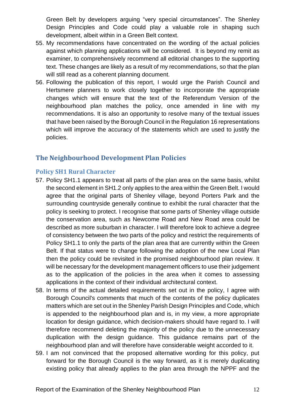Green Belt by developers arguing "very special circumstances". The Shenley Design Principles and Code could play a valuable role in shaping such development, albeit within in a Green Belt context.

- 55. My recommendations have concentrated on the wording of the actual policies against which planning applications will be considered. It is beyond my remit as examiner, to comprehensively recommend all editorial changes to the supporting text. These changes are likely as a result of my recommendations, so that the plan will still read as a coherent planning document.
- 56. Following the publication of this report, I would urge the Parish Council and Hertsmere planners to work closely together to incorporate the appropriate changes which will ensure that the text of the Referendum Version of the neighbourhood plan matches the policy, once amended in line with my recommendations. It is also an opportunity to resolve many of the textual issues that have been raised by the Borough Council in the Regulation 16 representations which will improve the accuracy of the statements which are used to justify the policies.

# **The Neighbourhood Development Plan Policies**

# **Policy SH1 Rural Character**

- 57. Policy SH1.1 appears to treat all parts of the plan area on the same basis, whilst the second element in SH1.2 only applies to the area within the Green Belt. I would agree that the original parts of Shenley village, beyond Porters Park and the surrounding countryside generally continue to exhibit the rural character that the policy is seeking to protect. I recognise that some parts of Shenley village outside the conservation area, such as Newcome Road and New Road area could be described as more suburban in character. I will therefore look to achieve a degree of consistency between the two parts of the policy and restrict the requirements of Policy SH1.1 to only the parts of the plan area that are currently within the Green Belt. If that status were to change following the adoption of the new Local Plan then the policy could be revisited in the promised neighbourhood plan review. It will be necessary for the development management officers to use their judgement as to the application of the policies in the area when it comes to assessing applications in the context of their individual architectural context.
- 58. In terms of the actual detailed requirements set out in the policy, I agree with Borough Council's comments that much of the contents of the policy duplicates matters which are set out in the Shenley Parish Design Principles and Code, which is appended to the neighbourhood plan and is, in my view, a more appropriate location for design guidance, which decision-makers should have regard to. I will therefore recommend deleting the majority of the policy due to the unnecessary duplication with the design guidance. This guidance remains part of the neighbourhood plan and will therefore have considerable weight accorded to it.
- 59. I am not convinced that the proposed alternative wording for this policy, put forward for the Borough Council is the way forward, as it is merely duplicating existing policy that already applies to the plan area through the NPPF and the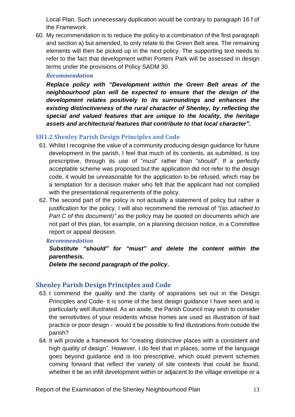Local Plan. Such unnecessary duplication would be contrary to paragraph 16 f of the Framework.

60. My recommendation is to reduce the policy to a combination of the first paragraph and section a) but amended, to only relate to the Green Belt area. The remaining elements will then be picked up in the next policy. The supporting text needs to refer to the fact that development within Porters Park will be assessed in design terms under the provisions of Policy SADM 30.

## *Recommendation*

*Replace policy with "Development within the Green Belt areas of the neighbourhood plan will be expected to ensure that the design of the development relates positively to its surroundings and enhances the existing distinctiveness of the rural character of Shenley, by reflecting the special and valued features that are unique to the locality, the heritage assets and architectural features that contribute to that local character".*

# **SH1.2 Shenley Parish Design Principles and Code**

- 61. Whilst I recognise the value of a community producing design guidance for future development in the parish, I feel that much of its contents, as submitted, is too prescriptive, through its use of "*must*" rather than "*should*". If a perfectly acceptable scheme was proposed but the application did not refer to the design code, it would be unreasonable for the application to be refused, which may be a temptation for a decision maker who felt that the applicant had not complied with the presentational requirements of the policy.
- 62. The second part of the policy is not actually a statement of policy but rather a justification for the policy. I will also recommend the removal of *"(as attached to Part C of this document)"* as the policy may be quoted on documents which are not part of this plan, for example, on a planning decision notice, in a Committee report or appeal decision.

## *Recommendation*

*Substitute "should" for "must" and delete the content within the parenthesis.*

*Delete the second paragraph of the policy***.**

# **Shenley Parish Design Principles and Code**

- 63. I commend the quality and the clarity of aspirations set out in the Design Principles and Code- it is some of the best design guidance I have seen and is particularly well illustrated. As an aside, the Parish Council may wish to consider the sensitivities of your residents whose homes are used as illustration of bad practice or poor design - would it be possible to find illustrations from outside the parish?
- 64. It will provide a framework for "creating distinctive places with a consistent and high quality of design". However, I do feel that in places, some of the language goes beyond guidance and is too prescriptive, which could prevent schemes coming forward that reflect the variety of site contexts that could be found, whether it be an infill development within or adjacent to the village envelope or a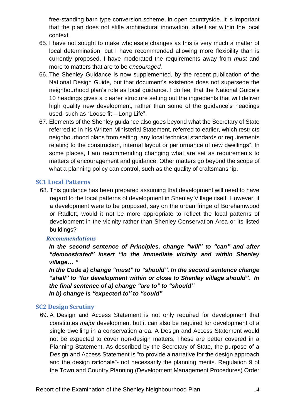free-standing barn type conversion scheme, in open countryside. It is important that the plan does not stifle architectural innovation, albeit set within the local context.

- 65. I have not sought to make wholesale changes as this is very much a matter of local determination, but I have recommended allowing more flexibility than is currently proposed. I have moderated the requirements away from *must* and more to matters that are to be *encouraged.*
- 66. The Shenley Guidance is now supplemented, by the recent publication of the National Design Guide, but that document's existence does not supersede the neighbourhood plan's role as local guidance. I do feel that the National Guide's 10 headings gives a clearer structure setting out the ingredients that will deliver high quality new development, rather than some of the guidance's headings used, such as "Loose fit – Long Life".
- 67. Elements of the Shenley guidance also goes beyond what the Secretary of State referred to in his Written Ministerial Statement, referred to earlier, which restricts neighbourhood plans from setting "any local technical standards or requirements relating to the construction, internal layout or performance of new dwellings". In some places, I am recommending changing what are set as requirements to matters of encouragement and guidance. Other matters go beyond the scope of what a planning policy can control, such as the quality of craftsmanship.

#### **SC1 Local Patterns**

68. This guidance has been prepared assuming that development will need to have regard to the local patterns of development in Shenley Village itself. However, if a development were to be proposed, say on the urban fringe of Borehamwood or Radlett, would it not be more appropriate to reflect the local patterns of development in the vicinity rather than Shenley Conservation Area or its listed buildings?

#### *Recommendations*

*In the second sentence of Principles, change "will" to "can" and after "demonstrated" insert "in the immediate vicinity and within Shenley village… "*

*In the Code a) change "must" to "should". In the second sentence change "shall" to "for development within or close to Shenley village should". In the final sentence of a) change "are to" to "should" In b) change is "expected to" to "could"*

#### **SC2 Design Scrutiny**

69. A Design and Access Statement is not only required for development that constitutes *major* development but it can also be required for development of a single dwelling in a conservation area. A Design and Access Statement would not be expected to cover non-design matters. These are better covered in a Planning Statement. As described by the Secretary of State, the purpose of a Design and Access Statement is "to provide a narrative for the design approach and the design rationale"- not necessarily the planning merits. Regulation 9 of the Town and Country Planning (Development Management Procedures) Order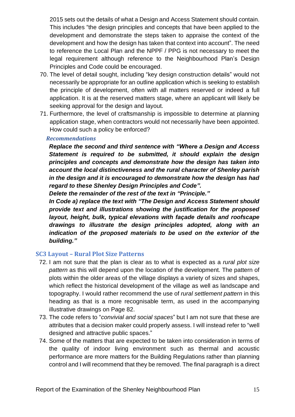2015 sets out the details of what a Design and Access Statement should contain. This includes "the design principles and concepts that have been applied to the development and demonstrate the steps taken to appraise the context of the development and how the design has taken that context into account". The need to reference the Local Plan and the NPPF / PPG is not necessary to meet the legal requirement although reference to the Neighbourhood Plan's Design Principles and Code could be encouraged.

- 70. The level of detail sought, including "key design construction details" would not necessarily be appropriate for an outline application which is seeking to establish the principle of development, often with all matters reserved or indeed a full application. It is at the reserved matters stage, where an applicant will likely be seeking approval for the design and layout.
- 71. Furthermore, the level of craftsmanship is impossible to determine at planning application stage, when contractors would not necessarily have been appointed. How could such a policy be enforced?

#### *Recommendations*

*Replace the second and third sentence with "Where a Design and Access Statement is required to be submitted, it should explain the design principles and concepts and demonstrate how the design has taken into account the local distinctiveness and the rural character of Shenley parish in the design and it is encouraged to demonstrate how the design has had regard to these Shenley Design Principles and Code".*

*Delete the remainder of the rest of the text in "Principle."*

*In Code a) replace the text with "The Design and Access Statement should provide text and illustrations showing the justification for the proposed layout, height, bulk, typical elevations with façade details and roofscape drawings to illustrate the design principles adopted, along with an indication of the proposed materials to be used on the exterior of the building."*

#### **SC3 Layout – Rural Plot Size Patterns**

- 72. I am not sure that the plan is clear as to what is expected as a *rural plot size pattern* as this will depend upon the location of the development. The pattern of plots within the older areas of the village displays a variety of sizes and shapes, which reflect the historical development of the village as well as landscape and topography. I would rather recommend the use of *rural settlement pattern* in this heading as that is a more recognisable term, as used in the accompanying illustrative drawings on Page 82.
- 73. The code refers to "*convivial and social spaces*" but I am not sure that these are attributes that a decision maker could properly assess. I will instead refer to "well designed and attractive public spaces."
- 74. Some of the matters that are expected to be taken into consideration in terms of the quality of indoor living environment such as thermal and acoustic performance are more matters for the Building Regulations rather than planning control and I will recommend that they be removed. The final paragraph is a direct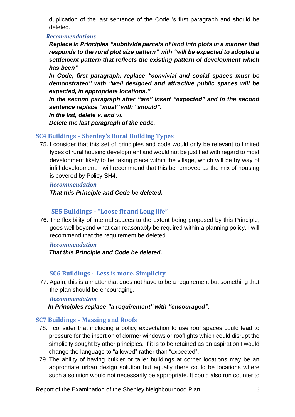duplication of the last sentence of the Code 's first paragraph and should be deleted.

#### *Recommendations*

*Replace in Principles "subdivide parcels of land into plots in a manner that responds to the rural plot size pattern" with "will be expected to adopted a settlement pattern that reflects the existing pattern of development which has been"*

*In Code, first paragraph, replace "convivial and social spaces must be demonstrated" with "well designed and attractive public spaces will be expected, in appropriate locations."*

*In the second paragraph after "are" insert "expected" and in the second sentence replace "must" with "should".*

*In the list, delete v. and vi.*

*Delete the last paragraph of the code.*

# **SC4 Buildings – Shenley's Rural Building Types**

75. I consider that this set of principles and code would only be relevant to limited types of rural housing development and would not be justified with regard to most development likely to be taking place within the village, which will be by way of infill development. I will recommend that this be removed as the mix of housing is covered by Policy SH4.

#### *Recommendation*

*That this Principle and Code be deleted.*

# **SE5 Buildings – "Loose fit and Long life"**

76. The flexibility of internal spaces to the extent being proposed by this Principle, goes well beyond what can reasonably be required within a planning policy. I will recommend that the requirement be deleted.

## *Recommendation*

 *That this Principle and Code be deleted.*

# **SC6 Buildings - Less is more. Simplicity**

77. Again, this is a matter that does not have to be a requirement but something that the plan should be encouraging.

## *Recommendation*

*In Principles replace "a requirement" with "encouraged".*

## **SC7 Buildings – Massing and Roofs**

- 78. I consider that including a policy expectation to use roof spaces could lead to pressure for the insertion of dormer windows or rooflights which could disrupt the simplicity sought by other principles. If it is to be retained as an aspiration I would change the language to "allowed" rather than "expected".
- 79. The ability of having bulkier or taller buildings at corner locations may be an appropriate urban design solution but equally there could be locations where such a solution would not necessarily be appropriate. It could also run counter to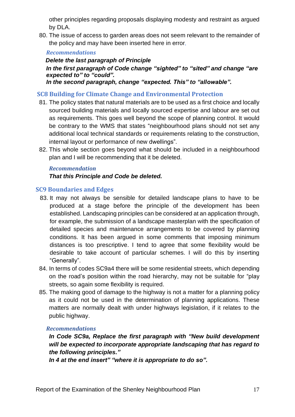other principles regarding proposals displaying modesty and restraint as argued by DLA.

80. The issue of access to garden areas does not seem relevant to the remainder of the policy and may have been inserted here in error.

#### *Recommendations*

 *Delete the last paragraph of Principle In the first paragraph of Code change "sighted" to "sited" and change "are expected to" to "could".*

*In the second paragraph, change "expected. This" to "allowable".*

## **SC8 Building for Climate Change and Environmental Protection**

- 81. The policy states that natural materials are to be used as a first choice and locally sourced building materials and locally sourced expertise and labour are set out as requirements. This goes well beyond the scope of planning control. It would be contrary to the WMS that states "neighbourhood plans should not set any additional local technical standards or requirements relating to the construction, internal layout or performance of new dwellings".
- 82. This whole section goes beyond what should be included in a neighbourhood plan and I will be recommending that it be deleted.

## *Recommendation*

#### *That this Principle and Code be deleted.*

#### **SC9 Boundaries and Edges**

- 83. It may not always be sensible for detailed landscape plans to have to be produced at a stage before the principle of the development has been established. Landscaping principles can be considered at an application through, for example, the submission of a landscape masterplan with the specification of detailed species and maintenance arrangements to be covered by planning conditions. It has been argued in some comments that imposing minimum distances is too prescriptive. I tend to agree that some flexibility would be desirable to take account of particular schemes. I will do this by inserting "Generally".
- 84. In terms of codes SC9a4 there will be some residential streets, which depending on the road's position within the road hierarchy, may not be suitable for "play streets, so again some flexibility is required.
- 85. The making good of damage to the highway is not a matter for a planning policy as it could not be used in the determination of planning applications. These matters are normally dealt with under highways legislation, if it relates to the public highway.

#### *Recommendations*

*In Code SC9a, Replace the first paragraph with "New build development will be expected to incorporate appropriate landscaping that has regard to the following principles."*

*In 4 at the end insert" "where it is appropriate to do so".*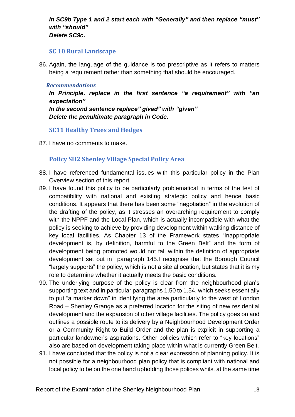#### *In SC9b Type 1 and 2 start each with "Generally" and then replace "must" with "should" Delete SC9c.*

#### **SC 10 Rural Landscape**

86. Again, the language of the guidance is too prescriptive as it refers to matters being a requirement rather than something that should be encouraged.

#### *Recommendations*

*In Principle, replace in the first sentence "a requirement" with "an expectation"*

*In the second sentence replace" gived" with "given" Delete the penultimate paragraph in Code.*

## **SC11 Healthy Trees and Hedges**

87. I have no comments to make.

# **Policy SH2 Shenley Village Special Policy Area**

- 88. I have referenced fundamental issues with this particular policy in the Plan Overview section of this report.
- 89. I have found this policy to be particularly problematical in terms of the test of compatibility with national and existing strategic policy and hence basic conditions. It appears that there has been some "negotiation" in the evolution of the drafting of the policy, as it stresses an overarching requirement to comply with the NPPF and the Local Plan, which is actually incompatible with what the policy is seeking to achieve by providing development within walking distance of key local facilities. As Chapter 13 of the Framework states "Inappropriate development is, by definition, harmful to the Green Belt" and the form of development being promoted would not fall within the definition of appropriate development set out in paragraph 145.I recognise that the Borough Council "largely supports" the policy, which is not a site allocation, but states that it is my role to determine whether it actually meets the basic conditions.
- 90. The underlying purpose of the policy is clear from the neighbourhood plan's supporting text and in particular paragraphs 1.50 to 1.54, which seeks essentially to put "a marker down" in identifying the area particularly to the west of London Road – Shenley Grange as a preferred location for the siting of new residential development and the expansion of other village facilities. The policy goes on and outlines a possible route to its delivery by a Neighbourhood Development Order or a Community Right to Build Order and the plan is explicit in supporting a particular landowner's aspirations. Other policies which refer to "key locations" also are based on development taking place within what is currently Green Belt.
- 91. I have concluded that the policy is not a clear expression of planning policy. It is not possible for a neighbourhood plan policy that is compliant with national and local policy to be on the one hand upholding those polices whilst at the same time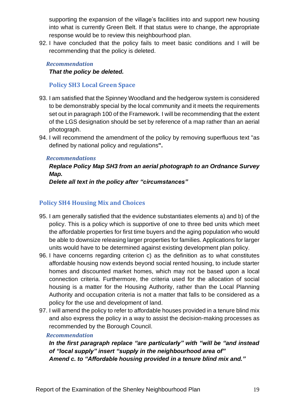supporting the expansion of the village's facilities into and support new housing into what is currently Green Belt. If that status were to change, the appropriate response would be to review this neighbourhood plan.

92. I have concluded that the policy fails to meet basic conditions and I will be recommending that the policy is deleted.

# *Recommendation*

*That the policy be deleted.*

# **Policy SH3 Local Green Space**

- 93. I am satisfied that the Spinney Woodland and the hedgerow system is considered to be demonstrably special by the local community and it meets the requirements set out in paragraph 100 of the Framework. I will be recommending that the extent of the LGS designation should be set by reference of a map rather than an aerial photograph.
- 94. I will recommend the amendment of the policy by removing superfluous text "as defined by national policy and regulations**".**

# *Recommendations*

# *Replace Policy Map SH3 from an aerial photograph to an Ordnance Survey Map.*

*Delete all text in the policy after "circumstances"*

# **Policy SH4 Housing Mix and Choices**

- 95. I am generally satisfied that the evidence substantiates elements a) and b) of the policy. This is a policy which is supportive of one to three bed units which meet the affordable properties for first time buyers and the aging population who would be able to downsize releasing larger properties for families. Applications for larger units would have to be determined against existing development plan policy.
- 96. I have concerns regarding criterion c) as the definition as to what constitutes affordable housing now extends beyond social rented housing, to include starter homes and discounted market homes, which may not be based upon a local connection criteria. Furthermore, the criteria used for the allocation of social housing is a matter for the Housing Authority, rather than the Local Planning Authority and occupation criteria is not a matter that falls to be considered as a policy for the use and development of land.
- 97. I will amend the policy to refer to affordable houses provided in a tenure blind mix and also express the policy in a way to assist the decision-making processes as recommended by the Borough Council.

# *Recommendation*

*In the first paragraph replace "are particularly" with "will be "and instead of "local supply" insert "supply in the neighbourhood area of" Amend c. to "Affordable housing provided in a tenure blind mix and."*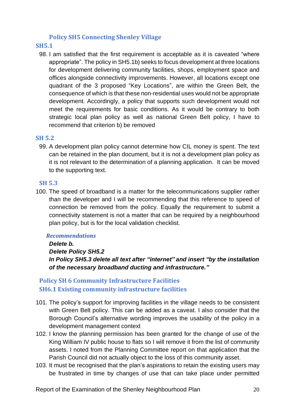## **Policy SH5 Connecting Shenley Village**

#### **SH5.1**

98. I am satisfied that the first requirement is acceptable as it is caveated "where appropriate". The policy in SH5.1b) seeks to focus development at three locations for development delivering community facilities, shops, employment space and offices alongside connectivity improvements. However, all locations except one quadrant of the 3 proposed "Key Locations", are within the Green Belt, the consequence of which is that these non-residential uses would not be appropriate development. Accordingly, a policy that supports such development would not meet the requirements for basic conditions. As it would be contrary to both strategic local plan policy as well as national Green Belt policy, I have to recommend that criterion b) be removed

#### **SH 5.2**

99. A development plan policy cannot determine how CIL money is spent. The text can be retained in the plan document, but it is not a development plan policy as it is not relevant to the determination of a planning application. It can be moved to the supporting text.

#### **SH 5.3**

100. The speed of broadband is a matter for the telecommunications supplier rather than the developer and I will be recommending that this reference to speed of connection be removed from the policy. Equally the requirement to submit a connectivity statement is not a matter that can be required by a neighbourhood plan policy, but is for the local validation checklist.

#### *Recommendations*

#### *Delete b.*

*Delete Policy SH5.2 In Policy SH5.3 delete all text after "internet" and insert "by the installation of the necessary broadband ducting and infrastructure."*

# **Policy SH 6 Community Infrastructure Facilities SH6.1 Existing community infrastructure facilities**

- 101. The policy's support for improving facilities in the village needs to be consistent with Green Belt policy. This can be added as a caveat. I also consider that the Borough Council's alternative wording improves the usability of the policy in a development management context
- 102. I know the planning permission has been granted for the change of use of the King William IV public house to flats so I will remove it from the list of community assets. I noted from the Planning Committee report on that application that the Parish Council did not actually object to the loss of this community asset.
- 103. It must be recognised that the plan's aspirations to retain the existing users may be frustrated in time by changes of use that can take place under permitted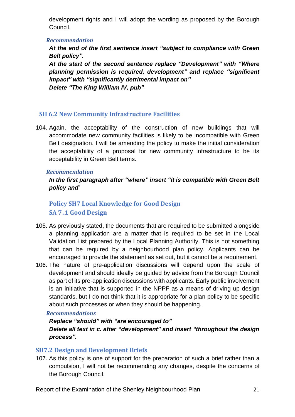development rights and I will adopt the wording as proposed by the Borough Council.

#### *Recommendation*

*At the end of the first sentence insert "subject to compliance with Green Belt policy".*

*At the start of the second sentence replace "Development" with "Where planning permission is required, development" and replace "significant impact" with "significantly detrimental impact on" Delete "The King William IV, pub"*

# **SH 6.2 New Community Infrastructure Facilities**

104. Again, the acceptability of the construction of new buildings that will accommodate new community facilities is likely to be incompatible with Green Belt designation. I will be amending the policy to make the initial consideration the acceptability of a proposal for new community infrastructure to be its acceptability in Green Belt terms.

#### *Recommendation*

*In the first paragraph after "where" insert "it is compatible with Green Belt policy and*"

# **Policy SH7 Local Knowledge for Good Design SA 7 .1 Good Design**

- 105. As previously stated, the documents that are required to be submitted alongside a planning application are a matter that is required to be set in the Local Validation List prepared by the Local Planning Authority. This is not something that can be required by a neighbourhood plan policy. Applicants can be encouraged to provide the statement as set out, but it cannot be a requirement.
- 106. The nature of pre-application discussions will depend upon the scale of development and should ideally be guided by advice from the Borough Council as part of its pre-application discussions with applicants. Early public involvement is an initiative that is supported in the NPPF as a means of driving up design standards, but I do not think that it is appropriate for a plan policy to be specific about such processes or when they should be happening.

## *Recommendations*

# *Replace "should" with "are encouraged to" Delete all text in c. after "development" and insert "throughout the design process".*

## **SH7.2 Design and Development Briefs**

107. As this policy is one of support for the preparation of such a brief rather than a compulsion, I will not be recommending any changes, despite the concerns of the Borough Council.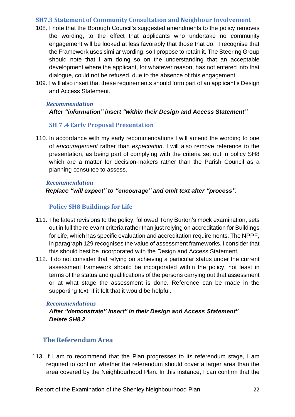## **SH7.3 Statement of Community Consultation and Neighbour Involvement**

- 108. I note that the Borough Council's suggested amendments to the policy removes the wording, to the effect that applicants who undertake no community engagement will be looked at less favorably that those that do. I recognise that the Framework uses similar wording, so I propose to retain it. The Steering Group should note that I am doing so on the understanding that an acceptable development where the applicant, for whatever reason, has not entered into that dialogue, could not be refused, due to the absence of this engagement.
- 109. I will also insert that these requirements should form part of an applicant's Design and Access Statement.

#### *Recommendation*

## *After "information" insert "within their Design and Access Statement"*

# **SH 7 .4 Early Proposal Presentation**

110. In accordance with my early recommendations I will amend the wording to one of *encouragement* rather than *expectation*. I will also remove reference to the presentation, as being part of complying with the criteria set out in policy SH8 which are a matter for decision-makers rather than the Parish Council as a planning consultee to assess.

#### *Recommendation*

 *Replace "will expect" to "encourage" and omit text after "process".*

# **Policy SH8 Buildings for Life**

- 111. The latest revisions to the policy, followed Tony Burton's mock examination, sets out in full the relevant criteria rather than just relying on accreditation for Buildings for Life, which has specific evaluation and accreditation requirements. The NPPF, in paragraph 129 recognises the value of assessment frameworks. I consider that this should best be incorporated with the Design and Access Statement.
- 112. I do not consider that relying on achieving a particular status under the current assessment framework should be incorporated within the policy, not least in terms of the status and qualifications of the persons carrying out that assessment or at what stage the assessment is done. Reference can be made in the supporting text, if it felt that it would be helpful.

## *Recommendations*

# *After "demonstrate" insert" in their Design and Access Statement" Delete SH8.2*

# **The Referendum Area**

113. If I am to recommend that the Plan progresses to its referendum stage, I am required to confirm whether the referendum should cover a larger area than the area covered by the Neighbourhood Plan. In this instance, I can confirm that the